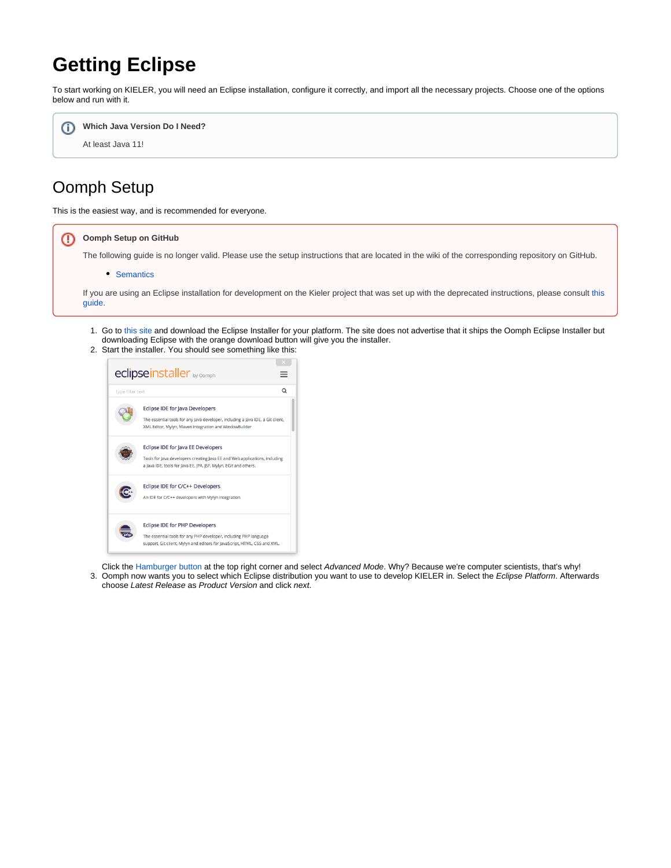# **Getting Eclipse**

To start working on KIELER, you will need an Eclipse installation, configure it correctly, and import all the necessary projects. Choose one of the options below and run with it.



## Oomph Setup

This is the easiest way, and is recommended for everyone.



- 1. Go to [this site](https://www.eclipse.org/downloads/index.php) and download the Eclipse Installer for your platform. The site does not advertise that it ships the Oomph Eclipse Installer but downloading Eclipse with the orange download button will give you the installer.
- 2. Start the installer. You should see something like this:



3. Oomph now wants you to select which Eclipse distribution you want to use to develop KIELER in. Select the Eclipse Platform. Afterwards Click the [Hamburger button](https://en.wikipedia.org/wiki/Hamburger_button) at the top right corner and select Advanced Mode. Why? Because we're computer scientists, that's why! choose Latest Release as Product Version and click next.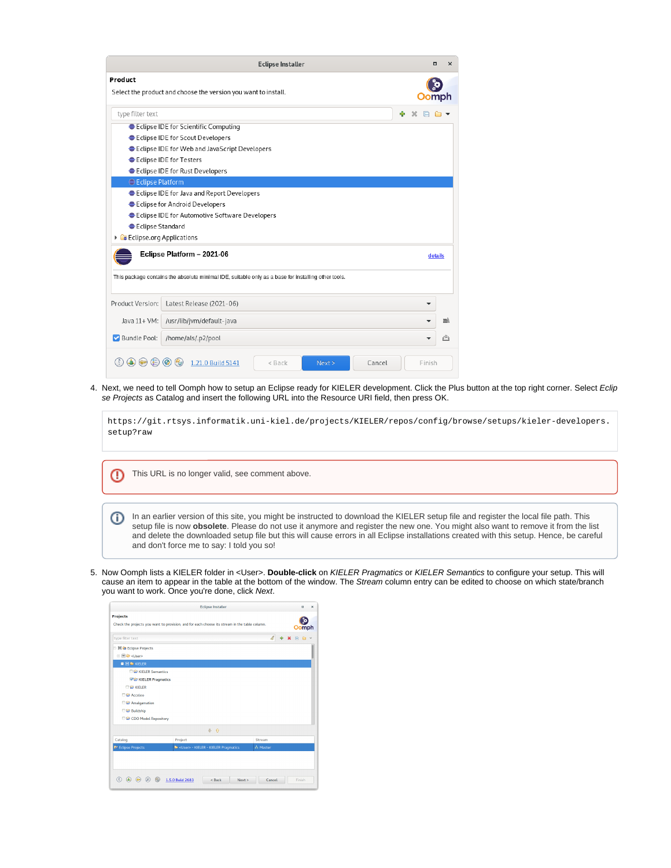|                           | <b>Eclipse Installer</b>                                                                            | $\Box$<br>$\times$ |
|---------------------------|-----------------------------------------------------------------------------------------------------|--------------------|
| Product                   |                                                                                                     |                    |
|                           | Select the product and choose the version you want to install.                                      | omph               |
| type filter text          |                                                                                                     | ÷                  |
|                           | Eclipse IDE for Scientific Computing                                                                |                    |
|                           | Eclipse IDE for Scout Developers                                                                    |                    |
|                           | Eclipse IDE for Web and JavaScript Developers                                                       |                    |
|                           | Eclipse IDE for Testers                                                                             |                    |
|                           | Eclipse IDE for Rust Developers                                                                     |                    |
| <b>● Eclipse Platform</b> |                                                                                                     |                    |
|                           | Eclipse IDE for Java and Report Developers                                                          |                    |
|                           | Eclipse for Android Developers                                                                      |                    |
|                           | Eclipse IDE for Automotive Software Developers                                                      |                    |
| ● Eclipse Standard        |                                                                                                     |                    |
| Eclipse.org Applications  |                                                                                                     |                    |
|                           | Eclipse Platform - 2021-06                                                                          | details            |
|                           | This package contains the absolute minimal IDE, suitable only as a base for installing other tools. |                    |
| Product Version:          | Latest Release (2021-06)                                                                            | ▼                  |
| Java 11+ VM:              | /usr/lib/jvm/default-java                                                                           | mò.                |
| Bundle Pool:              | /home/als/.p2/pool                                                                                  | r <sup>id</sup> i  |
|                           | 1.21.0 Build 5141<br>$\omega$<br>Cancel<br>$<$ Back<br>Next                                         | Finish             |

4. Next, we need to tell Oomph how to setup an Eclipse ready for KIELER development. Click the Plus button at the top right corner. Select *Eclip* se Projects as Catalog and insert the following URL into the Resource URI field, then press OK.

https://git.rtsys.informatik.uni-kiel.de/projects/KIELER/repos/config/browse/setups/kieler-developers. setup?raw This URL is no longer valid, see comment above. ⋒

In an earlier version of this site, you might be instructed to download the KIELER setup file and register the local file path. This ⊕ setup file is now **obsolete**. Please do not use it anymore and register the new one. You might also want to remove it from the list and delete the downloaded setup file but this will cause errors in all Eclipse installations created with this setup. Hence, be careful and don't force me to say: I told you so!

5. Now Oomph lists a KIELER folder in <User>. **Double-click** on KIELER Pragmatics or KIELER Semantics to configure your setup. This will cause an item to appear in the table at the bottom of the window. The Stream column entry can be edited to choose on which state/branch you want to work. Once you're done, click Next.

|                             | <b>Eclipse Installer</b>                                                                      | $\Box$            |
|-----------------------------|-----------------------------------------------------------------------------------------------|-------------------|
| <b>Projects</b>             | Check the projects you want to provision, and for each choose its stream in the table column. | Oomph             |
| type filter text            |                                                                                               | e e<br>4<br>$+ x$ |
| <b>B</b> @ Eclipse Projects |                                                                                               |                   |
| □ □ ● <user></user>         |                                                                                               |                   |
| <b>B B &amp; KIELER</b>     |                                                                                               |                   |
| <b>ELER Semantics</b>       |                                                                                               |                   |
| <b>WE KIELER Pragmatics</b> |                                                                                               |                   |
| <b>DE KIFLER</b>            |                                                                                               |                   |
| <b>DE Acceleo</b>           |                                                                                               |                   |
| Amalgamation                |                                                                                               |                   |
| <b>Buildship</b>            |                                                                                               |                   |
| CDO Model Repository        |                                                                                               |                   |
|                             | 0 <sup>0</sup>                                                                                |                   |
| Catalog                     | Project                                                                                       | Stream            |
|                             | <user> - KIELER - KIELER Pragmatics</user>                                                    | A Master          |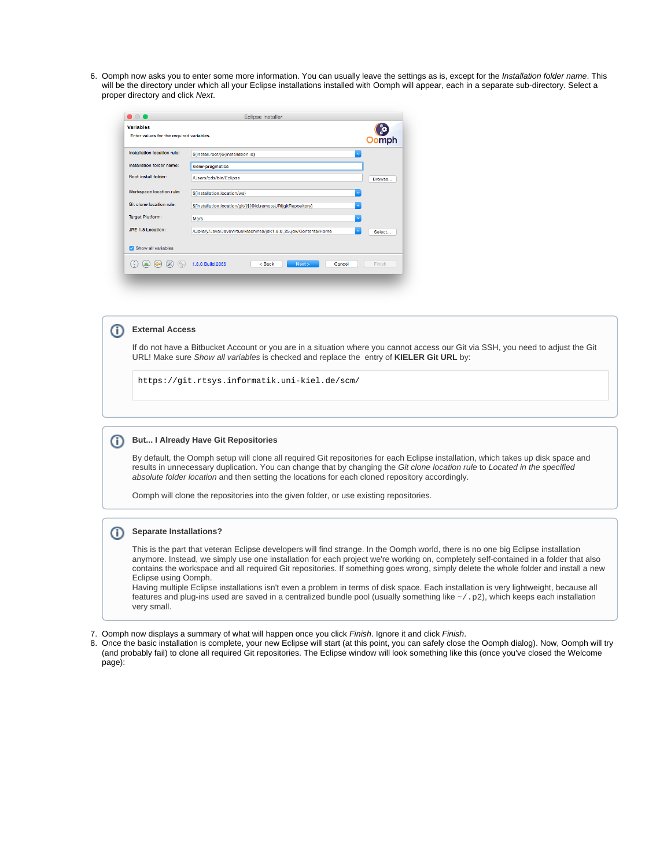6. Oomph now asks you to enter some more information. You can usually leave the settings as is, except for the Installation folder name. This will be the directory under which all your Eclipse installations installed with Oomph will appear, each in a separate sub-directory. Select a proper directory and click Next.

| $\blacksquare$                                               | <b>Eclipse Installer</b>                                        |        |
|--------------------------------------------------------------|-----------------------------------------------------------------|--------|
| <b>Variables</b><br>Enter values for the required variables. |                                                                 | mph    |
| Installation location rule:                                  | $\ddotmark$<br>\${install.root/}\${installation.id}             |        |
| Installation folder name:                                    | kieler-pragmatics                                               |        |
| <b>Root install folder:</b>                                  | /Users/cds/bin/Eclipse                                          | Browse |
| Workspace location rule:                                     | \${installation.location/ws}                                    |        |
| Git clone location rule:                                     | \${installation.location/git/}\${@id.remoteURI gitRepository}   |        |
| <b>Target Platform:</b>                                      | Mars<br>$\ddotmark$                                             |        |
| JRE 1.8 Location:                                            | /Library/Java/JavaVirtualMachines/jdk1.8.0_25.jdk/Contents/Home | Select |
| Show all variables<br>M                                      |                                                                 |        |
|                                                              | 1.3.0 Build 2066<br>Next<br>Cancel<br>$<$ Back                  | Finish |

#### ന **External Access**

If do not have a Bitbucket Account or you are in a situation where you cannot access our Git via SSH, you need to adjust the Git URL! Make sure Show all variables is checked and replace the entry of **KIELER Git URL** by:

https://git.rtsys.informatik.uni-kiel.de/scm/

#### **But... I Already Have Git Repositories**

By default, the Oomph setup will clone all required Git repositories for each Eclipse installation, which takes up disk space and results in unnecessary duplication. You can change that by changing the Git clone location rule to Located in the specified absolute folder location and then setting the locations for each cloned repository accordingly.

Oomph will clone the repositories into the given folder, or use existing repositories.

#### **Separate Installations?**

This is the part that veteran Eclipse developers will find strange. In the Oomph world, there is no one big Eclipse installation anymore. Instead, we simply use one installation for each project we're working on, completely self-contained in a folder that also contains the workspace and all required Git repositories. If something goes wrong, simply delete the whole folder and install a new Eclipse using Oomph.

Having multiple Eclipse installations isn't even a problem in terms of disk space. Each installation is very lightweight, because all features and plug-ins used are saved in a centralized bundle pool (usually something like  $\sim$  / .p2), which keeps each installation very small.

- 7. Oomph now displays a summary of what will happen once you click Finish. Ignore it and click Finish.
- 8. Once the basic installation is complete, your new Eclipse will start (at this point, you can safely close the Oomph dialog). Now, Oomph will try (and probably fail) to clone all required Git repositories. The Eclipse window will look something like this (once you've closed the Welcome page):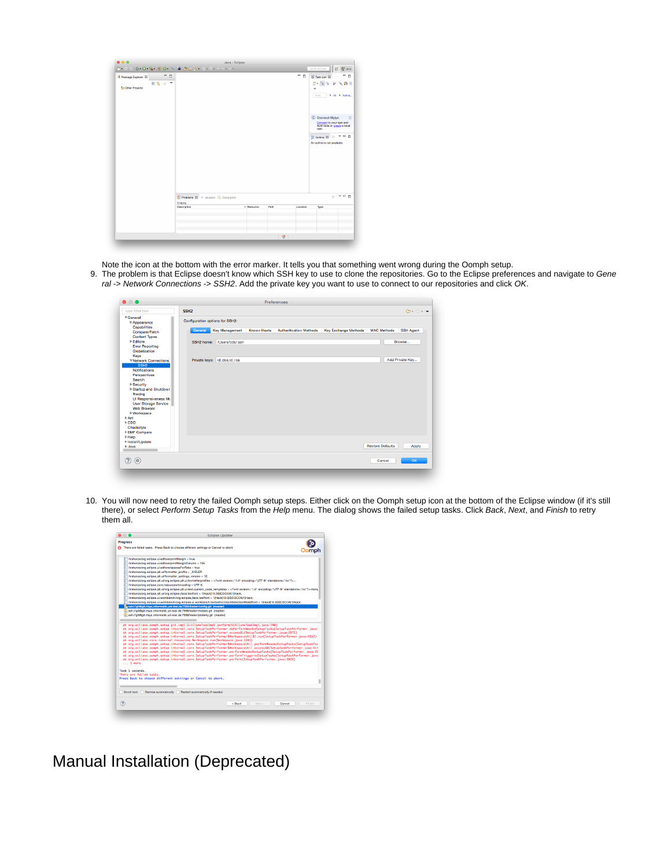|                     |      |                                                | Java - Eclipse |      |          |                                                                              |
|---------------------|------|------------------------------------------------|----------------|------|----------|------------------------------------------------------------------------------|
| $-9 - 1$            |      |                                                |                |      |          | <b>田 思 Java</b><br>Quick Access                                              |
| Package Explorer 23 | $-$  |                                                |                |      | - -      | - -<br>Task List 33                                                          |
|                     | 自信シャ |                                                |                |      |          | 1 年<br>۱ę.<br>$P \times P$                                                   |
| Other Projects      |      |                                                |                |      |          | v                                                                            |
|                     |      |                                                |                |      |          | F All F Activa<br>Find                                                       |
|                     |      |                                                |                |      |          |                                                                              |
|                     |      |                                                |                |      |          | <b>Connect Mylyn</b>                                                         |
|                     |      |                                                |                |      |          | $\Sigma$<br>Connect to your task and<br>ALM tools or create a local<br>task. |
|                     |      |                                                |                |      |          | <b>RE Outline 23</b><br>$- - -$                                              |
|                     |      |                                                |                |      |          | An outline is not available.                                                 |
|                     |      | Problems 33 @ Javadoc & Declaration<br>0 items |                |      |          | $\sim$ $\sim$ $\sim$ $\sim$                                                  |
|                     |      |                                                |                |      |          |                                                                              |
|                     |      | Description                                    | A Besource     | Path | Location | Trpe                                                                         |
|                     |      |                                                |                |      |          |                                                                              |
|                     |      |                                                |                |      |          |                                                                              |
|                     |      |                                                |                |      |          |                                                                              |

Note the icon at the bottom with the error marker. It tells you that something went wrong during the Oomph setup.

9. The problem is that Eclipse doesn't know which SSH key to use to clone the repositories. Go to the Eclipse preferences and navigate to Gene ral -> Network Connections -> SSH2. Add the private key you want to use to connect to our repositories and click OK.

| $\bullet$ $\bullet$                 |                                 |                             |                    | Preferences                   |                             |                         |                                                             |
|-------------------------------------|---------------------------------|-----------------------------|--------------------|-------------------------------|-----------------------------|-------------------------|-------------------------------------------------------------|
| type filter text                    | SSH <sub>2</sub>                |                             |                    |                               |                             |                         | $\langle \Box \cdot \Box \rangle \cdot \blacktriangleright$ |
| General                             | Configuration options for SSH2: |                             |                    |                               |                             |                         |                                                             |
| Appearance                          |                                 |                             |                    |                               |                             |                         |                                                             |
| <b>Capabilities</b>                 | General                         | <b>Key Management</b>       | <b>Known Hosts</b> | <b>Authentication Methods</b> | <b>Key Exchange Methods</b> | <b>MAC Methods</b>      | <b>SSH Agent</b>                                            |
| Compare/Patch                       |                                 |                             |                    |                               |                             |                         |                                                             |
| <b>Content Types</b>                |                                 |                             |                    |                               |                             |                         |                                                             |
| <b>▶Editors</b>                     |                                 | SSH2 home: /Users/cds/.ssh  |                    |                               |                             |                         | Browse                                                      |
| <b>Error Reporting</b>              |                                 |                             |                    |                               |                             |                         |                                                             |
| Globalization                       |                                 |                             |                    |                               |                             |                         |                                                             |
| Keys<br><b>▼Network Connections</b> |                                 | Private keys: id dsa,id rsa |                    |                               |                             |                         | Add Private Kev                                             |
| SSH <sub>2</sub>                    |                                 |                             |                    |                               |                             |                         |                                                             |
| <b>Notifications</b>                |                                 |                             |                    |                               |                             |                         |                                                             |
| Perspectives                        |                                 |                             |                    |                               |                             |                         |                                                             |
| Search                              |                                 |                             |                    |                               |                             |                         |                                                             |
| I-Security                          |                                 |                             |                    |                               |                             |                         |                                                             |
| Startup and Shutdown                |                                 |                             |                    |                               |                             |                         |                                                             |
| Tracing                             |                                 |                             |                    |                               |                             |                         |                                                             |
| Ul Responsiveness Mo                |                                 |                             |                    |                               |                             |                         |                                                             |
| <b>User Storage Service</b>         |                                 |                             |                    |                               |                             |                         |                                                             |
| <b>Web Browser</b>                  |                                 |                             |                    |                               |                             |                         |                                                             |
| I Workspace                         |                                 |                             |                    |                               |                             |                         |                                                             |
| $\triangleright$ Ant                |                                 |                             |                    |                               |                             |                         |                                                             |
| $\triangleright$ CDO                |                                 |                             |                    |                               |                             |                         |                                                             |
| Checkstyle                          |                                 |                             |                    |                               |                             |                         |                                                             |
| EMF Compare                         |                                 |                             |                    |                               |                             |                         |                                                             |
| $\triangleright$ Help               |                                 |                             |                    |                               |                             |                         |                                                             |
| ▶ Install/Update                    |                                 |                             |                    |                               |                             |                         |                                                             |
| ⊩.lava                              |                                 |                             |                    |                               |                             | <b>Restore Defaults</b> | Apply                                                       |
|                                     |                                 |                             |                    |                               |                             |                         |                                                             |
|                                     |                                 |                             |                    |                               |                             |                         | OK                                                          |
| ?<br>$\circledcirc$                 |                                 |                             |                    |                               |                             | Cancel                  |                                                             |
|                                     |                                 |                             |                    |                               |                             |                         |                                                             |

10. You will now need to retry the failed Oomph setup steps. Either click on the Oomph setup icon at the bottom of the Eclipse window (if it's still there), or select Perform Setup Tasks from the Help menu. The dialog shows the failed setup tasks. Click Back, Next, and Finish to retry them all.

| . .<br><b>Eclipse Updater</b>                                                                                                                                                                                                      |                  |
|------------------------------------------------------------------------------------------------------------------------------------------------------------------------------------------------------------------------------------|------------------|
| <b>Progress</b>                                                                                                                                                                                                                    |                  |
| 69 There are failed tasks. Press Back to choose different settings or Cancel to abort.                                                                                                                                             |                  |
| Anstance/org.eclipse.ui.editors/printMargin = true                                                                                                                                                                                 |                  |
| /instance/org.eclipse.ui.editors/printMarginColumn = 105                                                                                                                                                                           |                  |
| Anstance/org.eclipse.ui.editors/spacesForTabs = true                                                                                                                                                                               |                  |
| /instance/org.eclipse.idt.ui/formatter_profile = KIELER                                                                                                                                                                            |                  |
| Anstance/org.eclipse.idt.ui/formatter_settings_version = 12                                                                                                                                                                        |                  |
| /instance/org.eclipse.idt.ui/org.eclipse.idt.ui.formatterprofiles = xml version="1.0" encoding="UTF-8" standalone="no"?                                                                                                            |                  |
| /instance/org.eclipse.core.resources/encoding = UTF-8                                                                                                                                                                              |                  |
| /instance/org.eclipse.idt.ui/org.eclipse.idt.ui.text.custom_code_templates = xml version="1.0" encoding="UTF-8" standalone="no"? <temp< td=""><td></td></temp<>                                                                    |                  |
| /instance/org.eclipse.idt.ui/org.eclipse.jface.textfont = 194ack(10.000COCOA)194ack;                                                                                                                                               |                  |
| /instance/org.eclipse.ui.workbench/org.eclipse.jface.textfont = 1 Hack 10.0 0 COCOA 1 Hack;                                                                                                                                        |                  |
| /instance/org.eclipse.ui.workbench/org.eclipse.ui.workbench.texteditor.blockSelectionModeFont = 1 Hack110.0I0ICOCOAI1 Hack;                                                                                                        |                  |
| a sah://git@git.rtsys.informatik.uni-kiel.de:7999/kieler/config.git (master)                                                                                                                                                       |                  |
| an ssh://git@git.rtsys.informatik.uni-kiel.de:7999/kieler/models.git_(master)                                                                                                                                                      |                  |
| unsah://git@git.rtsvs.informatik.uni-kiel.de:7999/kieler/ptolemv.git_(master)                                                                                                                                                      |                  |
|                                                                                                                                                                                                                                    |                  |
| at org.eclipse.comph.setup.git.impl.GitCloneTaskImpl.perform(GitCloneTaskImpl.java:746)                                                                                                                                            |                  |
| at org.eclipse.oomph.setup.internal.core.SetupTaskPerformer.doPerformNeededSetupTasks(SetupTaskPerformer.java:                                                                                                                     |                  |
| at ora.eclipse.comph.setup.internal.core.SetupTaskPerformer.access\$1(SetupTaskPerformer.iava:2972)                                                                                                                                |                  |
| at org.eclipse.comph.setup.internal.core.SetupTaskPerformer\$WorkspaceUtil\$1.run(SetupTaskPerformer.igva:4152)                                                                                                                    |                  |
| at org.eclipse.core.internal.resources.Workspace.run(Workspace.java:2241)                                                                                                                                                          |                  |
| at org.eclipse.oomph.setup.internal.core.SetupTaskPerformerSWorkspaceUtil.performNeededSetupTasks(SetupTaskPer                                                                                                                     |                  |
| at org.eclipse.comph.setup.internal.core.SetupTaskPerformer\$WorkspaceUtil.access\$0(SetupTaskPerformer.igva:414<br>at org.eclipse.oomph.setup.internal.core.SetupTaskPerformer.performNeededSetupTasks(SetupTaskPerformer.java:29 |                  |
| at org.eclipse.oomph.setup.internal.core.SetupTaskPerformer.performTriggeredSetupTasks(SetupTaskPerformer.javc                                                                                                                     |                  |
| at org.eclipse.comph.setup.internal.core.SetupTaskPerformer.perform(SetupTaskPerformer.java:2829)                                                                                                                                  |                  |
| $\ldots$ 3 more                                                                                                                                                                                                                    |                  |
| Took 1 seconds.                                                                                                                                                                                                                    |                  |
| There are failed tasks.                                                                                                                                                                                                            |                  |
| Press Back to choose different settings or Cancel to abort.                                                                                                                                                                        |                  |
|                                                                                                                                                                                                                                    |                  |
| Scroll lock<br>Diamisa automatically<br>Restart automatically if needed                                                                                                                                                            |                  |
| Next<br>$2$ Rock                                                                                                                                                                                                                   | Concel<br>Finish |
|                                                                                                                                                                                                                                    |                  |

Manual Installation (Deprecated)